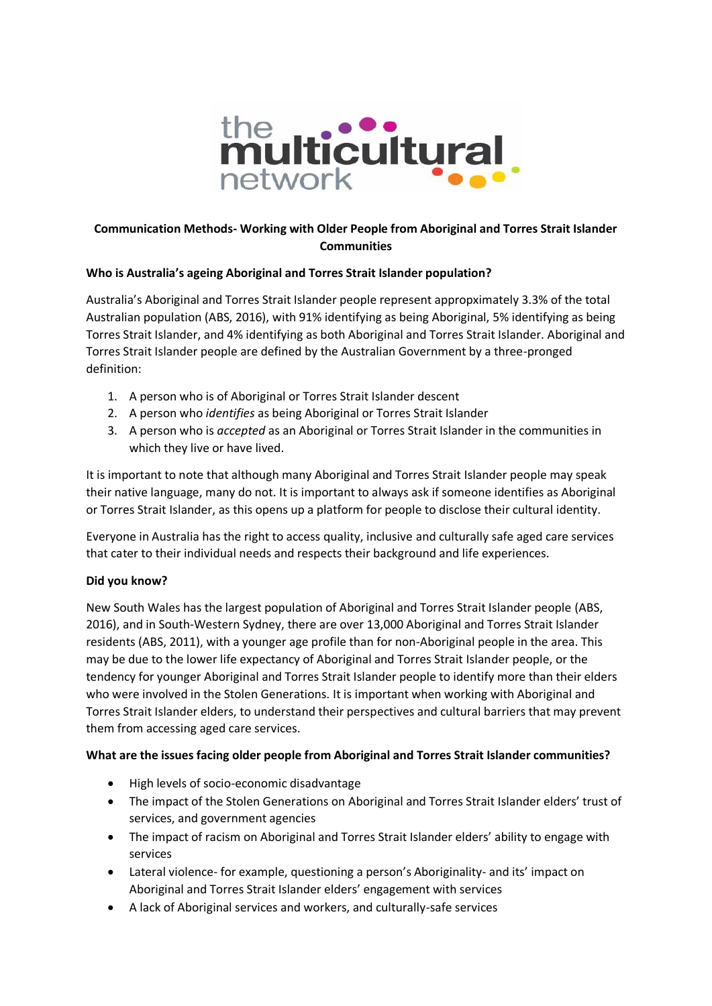

## **Communication Methods- Working with Older People from Aboriginal and Torres Strait Islander Communities**

### **Who is Australia's ageing Aboriginal and Torres Strait Islander population?**

Australia's Aboriginal and Torres Strait Islander people represent appropximately 3.3% of the total Australian population (ABS, 2016), with 91% identifying as being Aboriginal, 5% identifying as being Torres Strait Islander, and 4% identifying as both Aboriginal and Torres Strait Islander. Aboriginal and Torres Strait Islander people are defined by the Australian Government by a three-pronged definition:

- 1. A person who is of Aboriginal or Torres Strait Islander descent
- 2. A person who *identifies* as being Aboriginal or Torres Strait Islander
- 3. A person who is *accepted* as an Aboriginal or Torres Strait Islander in the communities in which they live or have lived.

It is important to note that although many Aboriginal and Torres Strait Islander people may speak their native language, many do not. It is important to always ask if someone identifies as Aboriginal or Torres Strait Islander, as this opens up a platform for people to disclose their cultural identity.

Everyone in Australia has the right to access quality, inclusive and culturally safe aged care services that cater to their individual needs and respects their background and life experiences.

### **Did you know?**

New South Wales has the largest population of Aboriginal and Torres Strait Islander people (ABS, 2016), and in South-Western Sydney, there are over 13,000 Aboriginal and Torres Strait Islander residents (ABS, 2011), with a younger age profile than for non-Aboriginal people in the area. This may be due to the lower life expectancy of Aboriginal and Torres Strait Islander people, or the tendency for younger Aboriginal and Torres Strait Islander people to identify more than their elders who were involved in the Stolen Generations. It is important when working with Aboriginal and Torres Strait Islander elders, to understand their perspectives and cultural barriers that may prevent them from accessing aged care services.

### **What are the issues facing older people from Aboriginal and Torres Strait Islander communities?**

- High levels of socio-economic disadvantage
- The impact of the Stolen Generations on Aboriginal and Torres Strait Islander elders' trust of services, and government agencies
- The impact of racism on Aboriginal and Torres Strait Islander elders' ability to engage with services
- Lateral violence- for example, questioning a person's Aboriginality- and its' impact on Aboriginal and Torres Strait Islander elders' engagement with services
- A lack of Aboriginal services and workers, and culturally-safe services